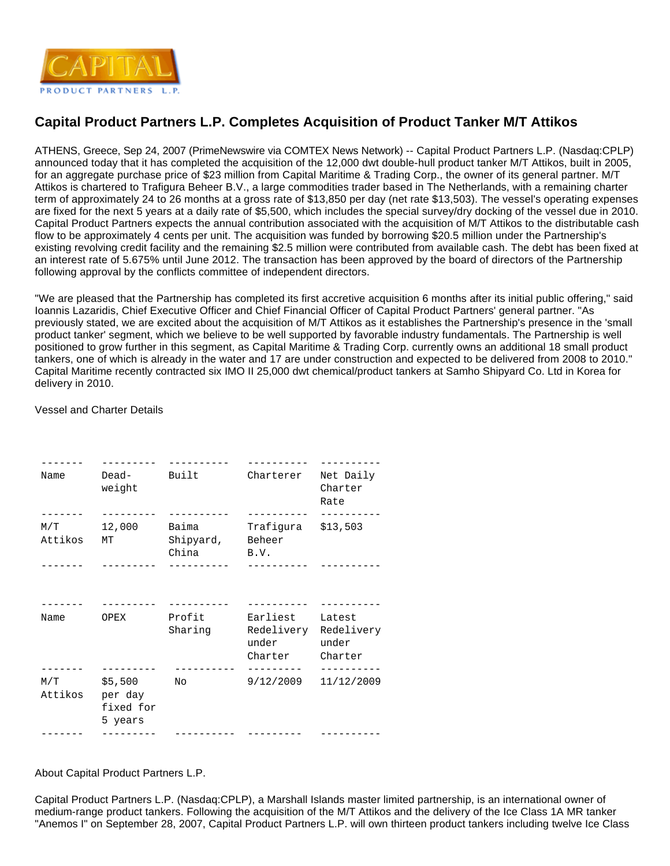

## **Capital Product Partners L.P. Completes Acquisition of Product Tanker M/T Attikos**

ATHENS, Greece, Sep 24, 2007 (PrimeNewswire via COMTEX News Network) -- Capital Product Partners L.P. (Nasdaq:CPLP) announced today that it has completed the acquisition of the 12,000 dwt double-hull product tanker M/T Attikos, built in 2005, for an aggregate purchase price of \$23 million from Capital Maritime & Trading Corp., the owner of its general partner. M/T Attikos is chartered to Trafigura Beheer B.V., a large commodities trader based in The Netherlands, with a remaining charter term of approximately 24 to 26 months at a gross rate of \$13,850 per day (net rate \$13,503). The vessel's operating expenses are fixed for the next 5 years at a daily rate of \$5,500, which includes the special survey/dry docking of the vessel due in 2010. Capital Product Partners expects the annual contribution associated with the acquisition of M/T Attikos to the distributable cash flow to be approximately 4 cents per unit. The acquisition was funded by borrowing \$20.5 million under the Partnership's existing revolving credit facility and the remaining \$2.5 million were contributed from available cash. The debt has been fixed at an interest rate of 5.675% until June 2012. The transaction has been approved by the board of directors of the Partnership following approval by the conflicts committee of independent directors.

"We are pleased that the Partnership has completed its first accretive acquisition 6 months after its initial public offering," said Ioannis Lazaridis, Chief Executive Officer and Chief Financial Officer of Capital Product Partners' general partner. "As previously stated, we are excited about the acquisition of M/T Attikos as it establishes the Partnership's presence in the 'small product tanker' segment, which we believe to be well supported by favorable industry fundamentals. The Partnership is well positioned to grow further in this segment, as Capital Maritime & Trading Corp. currently owns an additional 18 small product tankers, one of which is already in the water and 17 are under construction and expected to be delivered from 2008 to 2010." Capital Maritime recently contracted six IMO II 25,000 dwt chemical/product tankers at Samho Shipyard Co. Ltd in Korea for delivery in 2010.

## Vessel and Charter Details

| Name            | Dead-<br>weight                       | Built                                                      | Charterer                                          | Net Daily<br>Charter<br>Rate  |
|-----------------|---------------------------------------|------------------------------------------------------------|----------------------------------------------------|-------------------------------|
| M/T             | 12,000<br>Attikos MT                  | Baima Trafigura \$13,503<br>Shipyard, Beheer<br>China B.V. |                                                    |                               |
|                 |                                       |                                                            | ----------- ---------                              |                               |
| Name            | OPEX                                  | Profit<br>Sharing                                          | Earliest<br>Redelivery<br>under<br>Charter Charter | Latest<br>Redelivery<br>under |
| Attikos per day | $M/T$ \$5,500<br>fixed for<br>5 years | No                                                         | ---------<br>$9/12/2009$ $11/12/2009$              | ----------                    |
|                 | ---------                             |                                                            |                                                    |                               |

About Capital Product Partners L.P.

Capital Product Partners L.P. (Nasdaq:CPLP), a Marshall Islands master limited partnership, is an international owner of medium-range product tankers. Following the acquisition of the M/T Attikos and the delivery of the Ice Class 1A MR tanker "Anemos I" on September 28, 2007, Capital Product Partners L.P. will own thirteen product tankers including twelve Ice Class